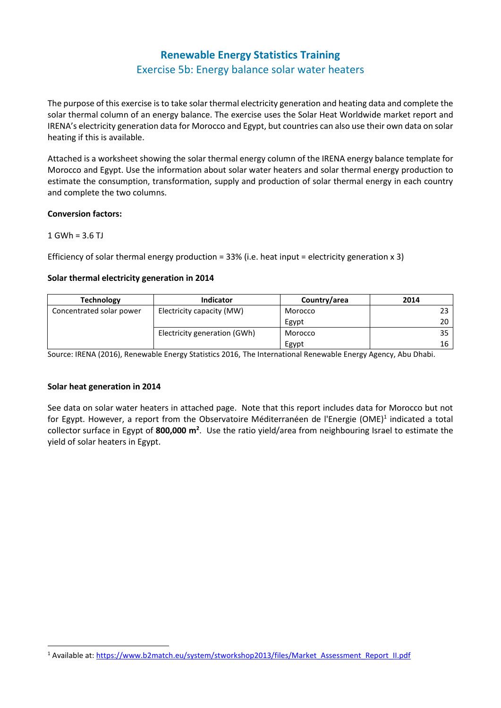# **Renewable Energy Statistics Training** Exercise 5b: Energy balance solar water heaters

The purpose of this exercise is to take solar thermal electricity generation and heating data and complete the solar thermal column of an energy balance. The exercise uses the Solar Heat Worldwide market report and IRENA's electricity generation data for Morocco and Egypt, but countries can also use their own data on solar heating if this is available.

Attached is a worksheet showing the solar thermal energy column of the IRENA energy balance template for Morocco and Egypt. Use the information about solar water heaters and solar thermal energy production to estimate the consumption, transformation, supply and production of solar thermal energy in each country and complete the two columns.

#### **Conversion factors:**

#### $1$  GWh =  $3.6$  TJ

Efficiency of solar thermal energy production =  $33\%$  (i.e. heat input = electricity generation x 3)

## **Solar thermal electricity generation in 2014**

| <b>Technology</b>        | <b>Indicator</b>             | Country/area | 2014 |
|--------------------------|------------------------------|--------------|------|
| Concentrated solar power | Electricity capacity (MW)    | Morocco      |      |
|                          |                              | Egypt        | 20   |
|                          | Electricity generation (GWh) | Morocco      | 35   |
|                          |                              | Egypt        | 16   |

Source: IRENA (2016), Renewable Energy Statistics 2016, The International Renewable Energy Agency, Abu Dhabi.

## **Solar heat generation in 2014**

See data on solar water heaters in attached page. Note that this report includes data for Morocco but not for Egypt. However, a report from the Observatoire Méditerranéen de l'Energie (OME)<sup>1</sup> indicated a total collector surface in Egypt of **800,000 m<sup>2</sup>** . Use the ratio yield/area from neighbouring Israel to estimate the yield of solar heaters in Egypt.

<sup>1</sup> Available at[: https://www.b2match.eu/system/stworkshop2013/files/Market\\_Assessment\\_Report\\_II.pdf](https://www.b2match.eu/system/stworkshop2013/files/Market_Assessment_Report_II.pdf)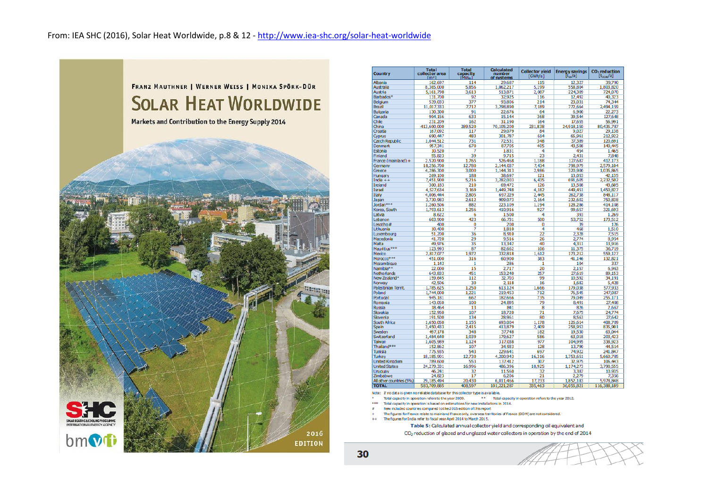

| <b>Country</b>           | <b>Total</b><br>collector area<br>$\lceil m^2 \rceil$ | <b>Total</b><br>capacity<br>[MW <sub>th</sub> ] | <b>Calculated</b><br>number<br>of systems | <b>Collector vield</b><br>[GWh/a] | <b>Energy savings</b><br>$[t_{\infty}/a]$ | CO <sub>2</sub> reduction<br>$[t_{\rm CO2e}/a]$ |
|--------------------------|-------------------------------------------------------|-------------------------------------------------|-------------------------------------------|-----------------------------------|-------------------------------------------|-------------------------------------------------|
| Alhania                  | 162,697                                               | 114                                             | 29,687                                    | 115                               | 12.327                                    | 39,790                                          |
| Australia                | 8,365,000                                             | 5.856                                           | 1.062.217                                 | 5.199                             | 558,804                                   | 1.803.820                                       |
| Austria                  | 5,161,798                                             | 3,613                                           | 513,871                                   | 2,087                             | 224,309                                   | 724,070                                         |
| Barbados*                | 131,700                                               | 92                                              | 32,925                                    | 116                               | 12,492                                    | 40.323                                          |
| Belgium                  | 539,033                                               | 377                                             | 93,806                                    | 214                               | 23,031                                    | 74,344                                          |
| Brazil                   | 11,017,333                                            | 7.712                                           | 3,298,890                                 | 7,189                             | 772,664                                   | 2,494,159                                       |
| <b>Bulgaria</b>          |                                                       | 91                                              | 22,676                                    | 64                                | 6,900                                     | 22,273                                          |
| Canada                   | 130,300                                               | 633                                             | 15,144                                    | 368                               | 39,544                                    | 127,648                                         |
|                          | 904,156                                               |                                                 |                                           |                                   |                                           |                                                 |
| Chile                    | 231,209                                               | 162                                             | 31,190                                    | 164                               | 17,655                                    | 56,991                                          |
| China                    | 413,600,000                                           | 289,520                                         | 70,105,200                                | 231,838                           | 24,918,150                                | 80,435,787                                      |
| Croatia                  | 167,092                                               | 117                                             | 29,079                                    | 84                                | 9,027                                     | 29,138                                          |
| Cyprus                   | 690,447                                               | 483                                             | 301,787                                   | 614                               | 65.961                                    | 212,922                                         |
| <b>Czech Republic</b>    | 1,044,512                                             | 731                                             | 72,531                                    | 348                               | 37,389                                    | 120.691                                         |
| <b>Denmark</b>           | 957,341                                               | 670                                             | 87.705                                    | 405                               | 43.508                                    | 140.445                                         |
| Estonia                  | 10,520                                                | 7                                               | 1,831                                     | 4                                 | 454                                       | 1,465                                           |
| <b>Finland</b>           | 55,823                                                | 39                                              | 9,715                                     | 23                                | 2,431                                     | 7,848                                           |
| France (mainland) +      | 2,520,900                                             | 1,765                                           | 526,468                                   | 1.188                             | 127,687                                   | 412,173                                         |
| Germany                  | 18,256,700                                            | 12,780                                          | 2,144,037                                 | 7,434                             | 798,979                                   | 2,579,104                                       |
| Greece                   | 4,286,300                                             | 3.000                                           | 1,144,313                                 | 2.986                             | 320,900                                   | 1,035,865                                       |
| Hungary                  | 269,100                                               | 188                                             | 38.697                                    | 121                               | 13,053                                    | 42.135                                          |
| India $++$               | 7,451,900                                             | 5,216                                           | 3,282,003                                 | 6.435                             | 691,605                                   | 2,232,502                                       |
| Ireland                  | 300,183                                               | 210                                             | 69,472                                    | 126                               | 13,508                                    | 43,605                                          |
| Israel                   | 4,527,634                                             | 3,169                                           | 1,449,748                                 | 4,182                             | 449,451                                   | 1,450,827                                       |
| Italy                    | 4,006,444                                             | 2.805                                           | 697,229                                   | 2.445                             | 262,738                                   | 848.117                                         |
| Japan                    | 3,730,983                                             | 2.612                                           | 909,073                                   | 2.164                             | 232,602                                   | 750,838                                         |
| Jordan ***               | 1,260,506                                             | 882                                             | 223,109                                   | 1,194                             | 128,286                                   | 414,108                                         |
| Korea, South             |                                                       | 1,256                                           |                                           | 927                               |                                           |                                                 |
|                          | 1,793,613                                             |                                                 | 410,916                                   |                                   | 99,657                                    | 321,693                                         |
| Latvia                   | 8,622                                                 | 6                                               | 1,500                                     | 4                                 | 393                                       | 1,269                                           |
| Lebanon                  | 603,900                                               | 423                                             | 66,731                                    | 500                               | 53,752                                    | 173,512                                         |
| Lesotho#                 | 400                                                   | 0                                               | 200                                       | 0                                 | 39                                        | 126                                             |
| Lithuania                | 10,400                                                | 7                                               | 1,810                                     | 4                                 | 468                                       | 1,510                                           |
| Luxembourg               | 51,200                                                | 36                                              | 8,910                                     | 22                                | 2.328                                     | 7.515                                           |
| Macedonia                | 41,720                                                | 29                                              | 9,516                                     | 26                                | 2,774                                     | 8,954                                           |
| Malta                    | 49,976                                                | 35                                              | 13.342                                    | 40                                | 4.311                                     | 13,916                                          |
| Mauritius***             | 123.993                                               | 87                                              | 82,662                                    | 106                               | 11,375                                    | 36,719                                          |
| Mexico                   | 2,817,077                                             | 1,972                                           | 332,818                                   | 1,612                             | 173,212                                   | 559,127                                         |
| Morocco***               | 451.000                                               | 316                                             | 60,900                                    | 383                               | 41.146                                    | 132.821                                         |
| Mozambique               | 1,143                                                 | 1                                               | 286                                       | 1                                 | 104                                       | 337                                             |
| Namibia <sup>**</sup>    | 22,000                                                | 15                                              | 2,717                                     | 20                                | 2,157                                     | 6,963                                           |
| Netherlands              | 643.833                                               | 451                                             | 153,240                                   | 257                               | 27.619                                    | 89.153                                          |
| New Zealand*             | 159,645                                               | 112                                             | 32,703                                    | 99                                | 10,592                                    | 34,191                                          |
| Norway                   | 42.506                                                | 30                                              | 2.118                                     | 16                                | 1.682                                     | 5.428                                           |
| Palestinian Territ.      | 1,785,625                                             | 1,250                                           | 613,124                                   | 1,666                             | 179,038                                   | 577,933                                         |
| Poland                   | 1,744,000                                             | 1.221                                           | 219,453                                   | 712                               | 76,545                                    | 247,087                                         |
| Portugal                 | 945,181                                               | 662                                             | 182,666                                   | 735                               | 79,049                                    | 255,171                                         |
| Romania                  | 143,050                                               | 100                                             | 24,895                                    | 79                                | 8,491                                     | 27,408                                          |
| Russia                   | 18,464                                                | 13                                              | 841                                       | 8                                 | 826                                       | 2.667                                           |
| Slovakia                 | 152,950                                               | 107                                             | 18,720                                    | 71                                | 7,675                                     | 24,774                                          |
| Slovenia                 | 191,500                                               | 134                                             | 28,961                                    | 80                                | 8,563                                     | 27,642                                          |
| South Africa             |                                                       | 1,155                                           | 693.004                                   | 1.178                             | 126,614                                   | 408,709                                         |
| Spain                    | 1,650,050                                             | 2.415                                           | 413,879                                   | 2.409                             | 258,953                                   | 835,901                                         |
| Sweden                   | 3,450,433<br>497,178                                  | 348                                             | 37,748                                    | 182                               | 19,530                                    | 63.044                                          |
|                          |                                                       |                                                 |                                           |                                   |                                           |                                                 |
| Switzerland              | 1,484,640                                             | 1.039                                           | 179.627                                   | 586                               | 63,018                                    | 203,423                                         |
| Taiwan                   | 1,605,989                                             | 1.124                                           | 317,038                                   | 977                               | 104.995                                   | 338.923                                         |
| Thailand***              | 152,862                                               | 107                                             | 34,933                                    | 128                               | 13,790                                    | 44,514                                          |
| Tunisia                  | 775,935                                               | 543                                             | 229,641                                   | 697                               | 74,922                                    | 241,847                                         |
| <b>Turkey</b>            | 18,185,901                                            | 12,730                                          | 4,200,943                                 | 16,316                            | 1,753,651                                 | 5,660,785                                       |
| <b>United Kingdom</b>    | 789,600                                               | 553                                             | 137,412                                   | 307                               | 32,975                                    | 106,443                                         |
| <b>United States</b>     | 24,279,331                                            | 16.996                                          | 486.396                                   | 10.925                            | 1.174.273                                 | 3.790.555                                       |
| Uruguay                  | 46.241                                                | 32                                              | 11,560                                    | 32                                | 3,387                                     | 10,935                                          |
| Zimbabwe                 | 24,823                                                | 17                                              | 6,206                                     | 21                                | 2,279                                     | 7,356                                           |
| All other countries (5%) | 29,185,494                                            | 20,430                                          | 6,011,466                                 | 17,233                            | 1,852,183                                 | 5,978,848                                       |
| <b>TOTAL</b>             | 583 709 885                                           | 408597                                          | 101.221.287                               | 335.463                           | 36.055.821                                | 116 388 189                                     |

.<br>Note: If no data is given no reliable database for this collector type is available.

\*\* Total capacity in operation refers to the year 2012. Total capacity in operation refers to the year 2009.

Total capacity in operation is based on estimations for new installations in 2014.

New included countries compared to the 2015 edition of this report

The figures for France relate to mainland France only, overseas territories of France (DOM) are not considered. The figures for India refer to fiscal year April 2014 to March 2015.

Table 5: Calculated annual collector yield and corresponding oil equivalent and

CO<sub>2</sub> reduction of glazed and unglazed water collectors in operation by the end of 2014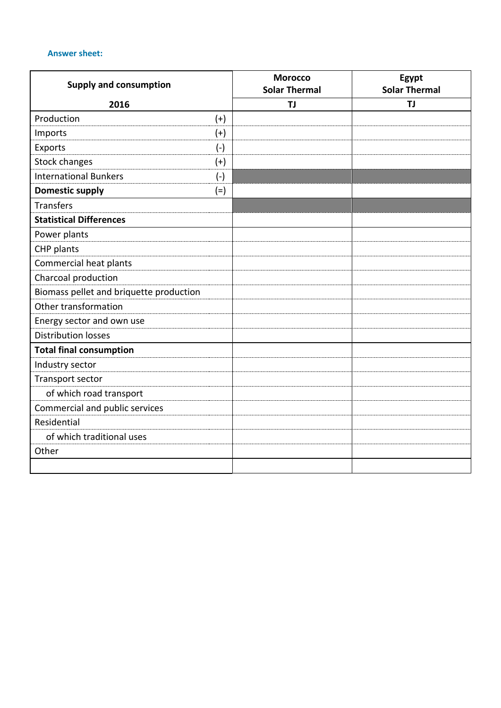## **Answer sheet:**

| <b>Supply and consumption</b>           |       | <b>Morocco</b><br><b>Solar Thermal</b> | Egypt<br><b>Solar Thermal</b> |
|-----------------------------------------|-------|----------------------------------------|-------------------------------|
| 2016                                    |       | <b>TJ</b>                              | <b>TJ</b>                     |
| Production                              | $(+)$ |                                        |                               |
| Imports                                 | $(+)$ |                                        |                               |
| Exports                                 | $(-)$ |                                        |                               |
| <b>Stock changes</b>                    | $(+)$ |                                        |                               |
| <b>International Bunkers</b>            | $(-)$ |                                        |                               |
| <b>Domestic supply</b>                  | $(=)$ |                                        |                               |
| <b>Transfers</b>                        |       |                                        |                               |
| <b>Statistical Differences</b>          |       |                                        |                               |
| Power plants                            |       |                                        |                               |
| CHP plants                              |       |                                        |                               |
| Commercial heat plants                  |       |                                        |                               |
| Charcoal production                     |       |                                        |                               |
| Biomass pellet and briquette production |       |                                        |                               |
| Other transformation                    |       |                                        |                               |
| Energy sector and own use               |       |                                        |                               |
| <b>Distribution losses</b>              |       |                                        |                               |
| <b>Total final consumption</b>          |       |                                        |                               |
| Industry sector                         |       |                                        |                               |
| Transport sector                        |       |                                        |                               |
| of which road transport                 |       |                                        |                               |
| Commercial and public services          |       |                                        |                               |
| Residential                             |       |                                        |                               |
| of which traditional uses               |       |                                        |                               |
| Other                                   |       |                                        |                               |
|                                         |       |                                        |                               |